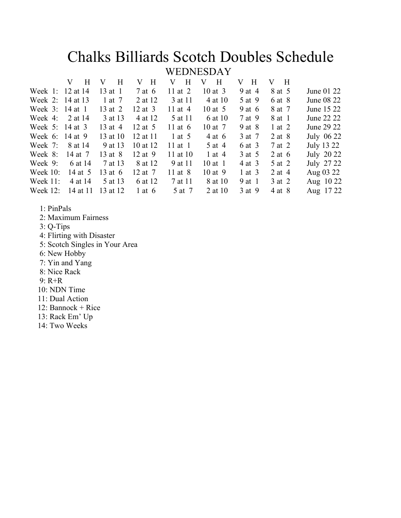# Chalks Billiards Scotch Doubles Schedule<br>WEDNESDAY

| H<br>V                     | $\mathbf{H}$<br>V                                                                             | $\overline{\mathbf{H}}$<br>V | H<br>V    | H<br>V      | $\mathbf{H}$<br>V | H<br>V     |            |
|----------------------------|-----------------------------------------------------------------------------------------------|------------------------------|-----------|-------------|-------------------|------------|------------|
|                            | $13$ at 1                                                                                     | 7 at 6                       | 11 at $2$ | $10$ at $3$ | 9 at 4            | 8 at 5     | June 01 22 |
|                            | 1 at 7                                                                                        | 2 at 12                      | 3 at 11   | 4 at 10     | 5 at 9            | 6 at 8     | June 08 22 |
|                            | 13 at 2                                                                                       | $12$ at 3                    | 11 at $4$ | 10 at $5$   | $9$ at 6          | 8 at 7     | June 15 22 |
| 2 at 14                    | 3 at 13                                                                                       | 4 at 12                      | 5 at 11   | 6 at 10     | 7 at 9            | 8 at 1     | June 22 22 |
|                            | 13 at 4                                                                                       | 12 at $5$                    | 11 at $6$ | 10 at 7     | $9$ at $8$        | $1$ at $2$ | June 29 22 |
|                            | 13 at 10                                                                                      | 12 at 11                     | 1 at $5$  | 4 at 6      | 3 at 7            | $2$ at $8$ | July 06 22 |
| 8 at 14                    | 9 at 13                                                                                       | 10 at 12                     | $11$ at 1 | 5 at 4      | 6 at 3            | 7 at 2     | July 13 22 |
| 14 at 7                    | 13 at 8                                                                                       | $12$ at 9                    | 11 at 10  | 1 at $4$    | 3 at 5            | 2 at $6$   | July 20 22 |
| 6 at 14                    | 7 at 13                                                                                       | 8 at 12                      | 9 at 11   | $10$ at 1   | 4 at 3            | 5 at 2     | July 27 22 |
| 14 at 5                    | 13 at $6$                                                                                     | 12 at 7                      | 11 at 8   | $10$ at 9   | $1$ at $3$        | $2$ at 4   | Aug 03 22  |
| 4 at 14                    | 5 at 13                                                                                       | 6 at 12                      | 7 at 11   | 8 at 10     | 9 at 1            | 3 at 2     | Aug 10 22  |
| 14 at 11                   | 13 at 12                                                                                      | 1 at $6$                     | 5 at 7    | 2 at 10     | 3 at 9            | 4 at 8     | Aug 17 22  |
| Week $11$ :<br>Week $12$ : | Week 1: 12 at 14<br>Week 2: 14 at 13<br>Week 3: 14 at 1<br>Week 5: 14 at 3<br>Week 6: 14 at 9 |                              |           |             |                   |            |            |

- 1: PinPals
- 2: Maximum Fairness
- 3: Q-Tips
- 4: Flirting with Disaster
- 5: Scotch Singles in Your Area
- 6: New Hobby
- 7: Yin and Yang
- 8: Nice Rack
- 9: R+R
- 10: NDN Time
- 11: Dual Action
- 12: Bannock + Rice
- 13: Rack Em' Up
- 14: Two Weeks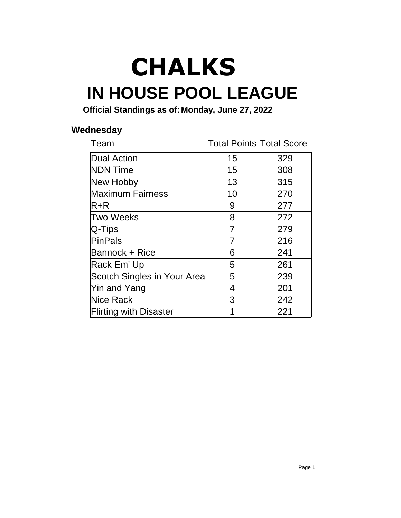## **IN HOUSE POOL LEAGUE CHALKS**

**Official Standings as of:Monday, June 27, 2022**

#### **Wednesday**

| Team                          | <b>Total Points Total Score</b> |     |
|-------------------------------|---------------------------------|-----|
| <b>Dual Action</b>            | 15                              | 329 |
| <b>NDN Time</b>               | 15                              | 308 |
| New Hobby                     | 13                              | 315 |
| <b>Maximum Fairness</b>       | 10                              | 270 |
| R+R                           | 9                               | 277 |
| <b>Two Weeks</b>              | 8                               | 272 |
| $Q$ -Tips                     | $\overline{7}$                  | 279 |
| PinPals                       | 7                               | 216 |
| <b>Bannock + Rice</b>         | 6                               | 241 |
| Rack Em' Up                   | 5                               | 261 |
| Scotch Singles in Your Area   | 5                               | 239 |
| Yin and Yang                  | 4                               | 201 |
| <b>Nice Rack</b>              | 3                               | 242 |
| <b>Flirting with Disaster</b> | 1                               | 221 |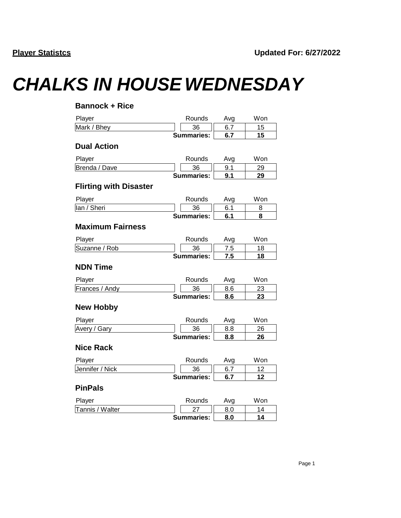## *CHALKS IN HOUSE WEDNESDAY*

| <b>Bannock + Rice</b>         |                   |     |     |
|-------------------------------|-------------------|-----|-----|
| Player                        | Rounds            | Avg | Won |
| Mark / Bhey                   | 36                | 6.7 | 15  |
|                               | <b>Summaries:</b> | 6.7 | 15  |
| <b>Dual Action</b>            |                   |     |     |
| Player                        | Rounds            | Avg | Won |
| Brenda / Dave                 | 36                | 9.1 | 29  |
|                               | <b>Summaries:</b> | 9.1 | 29  |
| <b>Flirting with Disaster</b> |                   |     |     |
| Player                        | Rounds            | Avg | Won |
| lan / Sheri                   | 36                | 6.1 | 8   |
|                               | <b>Summaries:</b> | 6.1 | 8   |
| <b>Maximum Fairness</b>       |                   |     |     |
| Player                        | Rounds            | Avg | Won |
| Suzanne / Rob                 | 36                | 7.5 | 18  |
|                               | <b>Summaries:</b> | 7.5 | 18  |
| <b>NDN Time</b>               |                   |     |     |
| Player                        | Rounds            | Avg | Won |
| Frances / Andy                | 36                | 8.6 | 23  |
|                               | <b>Summaries:</b> | 8.6 | 23  |
| <b>New Hobby</b>              |                   |     |     |
| Player                        | Rounds            | Avg | Won |
| Avery / Gary                  | 36                | 8.8 | 26  |
|                               | <b>Summaries:</b> | 8.8 | 26  |
| <b>Nice Rack</b>              |                   |     |     |
| Player                        | Rounds            | Avg | Won |
| Jennifer / Nick               | 36                | 6.7 | 12  |
|                               | <b>Summaries:</b> | 6.7 | 12  |
| <b>PinPals</b>                |                   |     |     |
| Player                        | Rounds            | Avg | Won |
| Tannis / Walter               | 27                | 8.0 | 14  |
|                               | <b>Summaries:</b> | 8.0 | 14  |